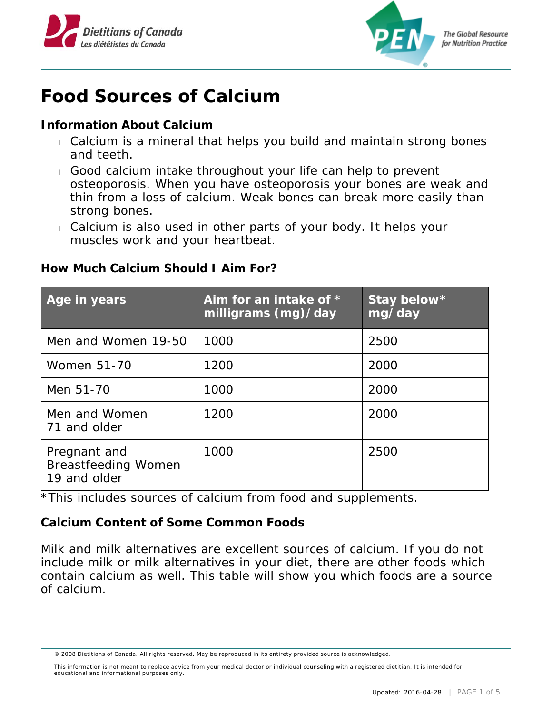



## **Food Sources of Calcium**

**Information About Calcium**

- Calcium is a mineral that helps you build and maintain strong bones and teeth.
- Good calcium intake throughout your life can help to prevent osteoporosis. When you have osteoporosis your bones are weak and thin from a loss of calcium. Weak bones can break more easily than strong bones.
- Calcium is also used in other parts of your body. It helps your muscles work and your heartbeat.

**How Much Calcium Should I Aim For?**

| Age in years                                               | Aim for an intake of $*$<br>milligrams $(mg)/day$ | Stay below*<br>mg/day |
|------------------------------------------------------------|---------------------------------------------------|-----------------------|
| Men and Women 19-50                                        | 1000                                              | 2500                  |
| <b>Women 51-70</b>                                         | 1200                                              | 2000                  |
| Men 51-70                                                  | 1000                                              | 2000                  |
| Men and Women<br>71 and older                              | 1200                                              | 2000                  |
| Pregnant and<br><b>Breastfeeding Women</b><br>19 and older | 1000                                              | 2500                  |

\*This includes sources of calcium from food and supplements.

**Calcium Content of Some Common Foods**

Milk and milk alternatives are excellent sources of calcium. If you do not include milk or milk alternatives in your diet, there are other foods which contain calcium as well. This table will show you which foods are a source of calcium.

<sup>© 2008</sup> Dietitians of Canada. All rights reserved. May be reproduced in its entirety provided source is acknowledged.

This information is not meant to replace advice from your medical doctor or individual counseling with a registered dietitian. It is intended for educational and informational purposes only.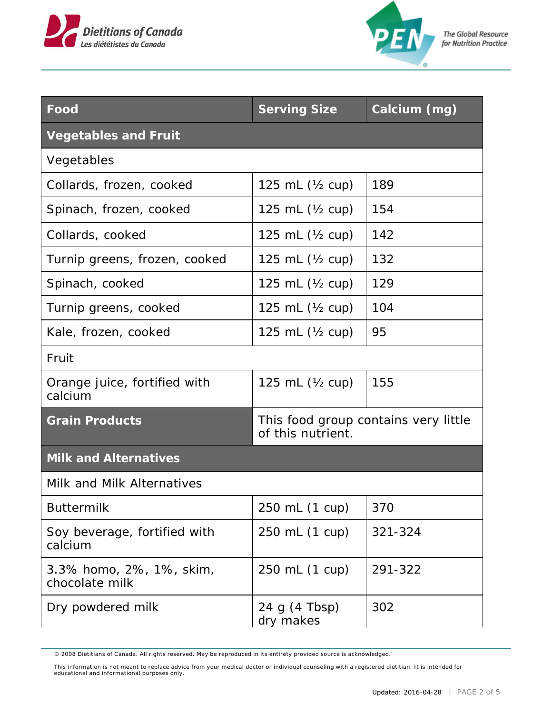



**The Global Resource** for Nutrition Practice

| Food                                       | <b>Serving Size</b>                                       | Calcium (mg) |  |  |
|--------------------------------------------|-----------------------------------------------------------|--------------|--|--|
| <b>Vegetables and Fruit</b>                |                                                           |              |  |  |
| Vegetables                                 |                                                           |              |  |  |
| Collards, frozen, cooked                   | 125 mL $(Y_2$ cup)                                        | 189          |  |  |
| Spinach, frozen, cooked                    | 125 mL $(Y_2$ cup)                                        | 154          |  |  |
| Collards, cooked                           | 125 mL $(Y_2$ cup)                                        | 142          |  |  |
| Turnip greens, frozen, cooked              | 125 mL $(Y_2$ cup)                                        | 132          |  |  |
| Spinach, cooked                            | 125 mL $(Y_2$ cup)                                        | 129          |  |  |
| Turnip greens, cooked                      | 125 mL $(Y_2$ cup)                                        | 104          |  |  |
| Kale, frozen, cooked                       | 125 mL $(Y_2$ cup)                                        | 95           |  |  |
| Fruit                                      |                                                           |              |  |  |
| Orange juice, fortified with<br>calcium    | 125 mL $(Y_2$ cup)                                        | 155          |  |  |
| <b>Grain Products</b>                      | This food group contains very little<br>of this nutrient. |              |  |  |
| <b>Milk and Alternatives</b>               |                                                           |              |  |  |
| Milk and Milk Alternatives                 |                                                           |              |  |  |
| <b>Buttermilk</b>                          | 250 mL (1 cup)                                            | 370          |  |  |
| Soy beverage, fortified with<br>calcium    | 250 mL (1 cup)                                            | 321-324      |  |  |
| 3.3% homo, 2%, 1%, skim,<br>chocolate milk | 250 mL (1 cup)                                            | 291-322      |  |  |
| Dry powdered milk                          | 24 g (4 Tbsp)<br>dry makes                                | 302          |  |  |

<sup>© 2008</sup> Dietitians of Canada. All rights reserved. May be reproduced in its entirety provided source is acknowledged.

This information is not meant to replace advice from your medical doctor or individual counseling with a registered dietitian. It is intended for educational and informational purposes only.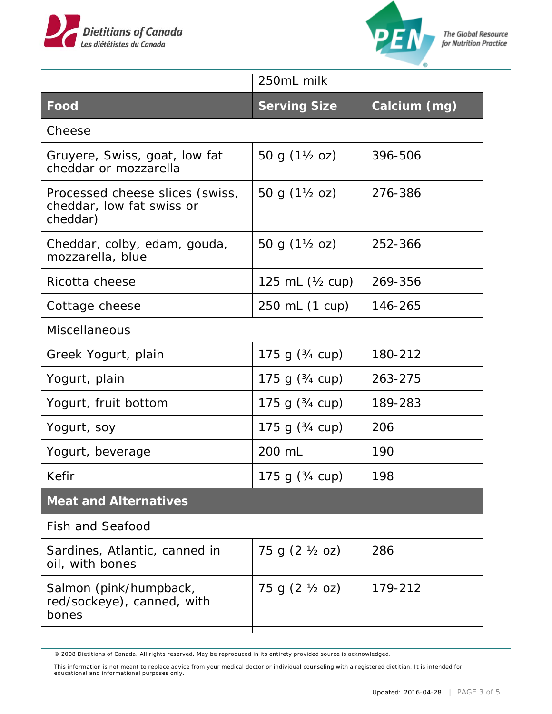



|                                                                          | 250mL milk                 |              |  |  |
|--------------------------------------------------------------------------|----------------------------|--------------|--|--|
| Food                                                                     | <b>Serving Size</b>        | Calcium (mg) |  |  |
| Cheese                                                                   |                            |              |  |  |
| Gruyere, Swiss, goat, low fat<br>cheddar or mozzarella                   | 50 g (1½ oz)               | 396-506      |  |  |
| Processed cheese slices (swiss,<br>cheddar, low fat swiss or<br>cheddar) | 50 g (1½ oz)               | 276-386      |  |  |
| Cheddar, colby, edam, gouda,<br>mozzarella, blue                         | 50 g $(1\frac{1}{2}$ oz)   | 252-366      |  |  |
| Ricotta cheese                                                           | 125 mL $(\frac{1}{2}$ cup) | 269-356      |  |  |
| Cottage cheese                                                           | 250 mL (1 cup)             | 146-265      |  |  |
| Miscellaneous                                                            |                            |              |  |  |
| Greek Yogurt, plain                                                      | 175 g $(3/4 \text{ cup})$  | 180-212      |  |  |
| Yogurt, plain                                                            | 175 g $(3/4 \text{ cup})$  | 263-275      |  |  |
| Yogurt, fruit bottom                                                     | 175 g $(3/4 \text{ cup})$  | 189-283      |  |  |
| Yogurt, soy                                                              | 175 g $(3/4 \text{ cup})$  | 206          |  |  |
| Yogurt, beverage                                                         | 200 mL                     | 190          |  |  |
| Kefir                                                                    | 175 g $(3/4 \text{ cup})$  | 198          |  |  |
| <b>Meat and Alternatives</b>                                             |                            |              |  |  |
| <b>Fish and Seafood</b>                                                  |                            |              |  |  |
| Sardines, Atlantic, canned in<br>oil, with bones                         | 75 g (2 ½ oz)              | 286          |  |  |
| Salmon (pink/humpback,<br>red/sockeye), canned, with<br>bones            | 75 g (2 ½ oz)              | 179-212      |  |  |

<sup>© 2008</sup> Dietitians of Canada. All rights reserved. May be reproduced in its entirety provided source is acknowledged.

This information is not meant to replace advice from your medical doctor or individual counseling with a registered dietitian. It is intended for educational and informational purposes only.